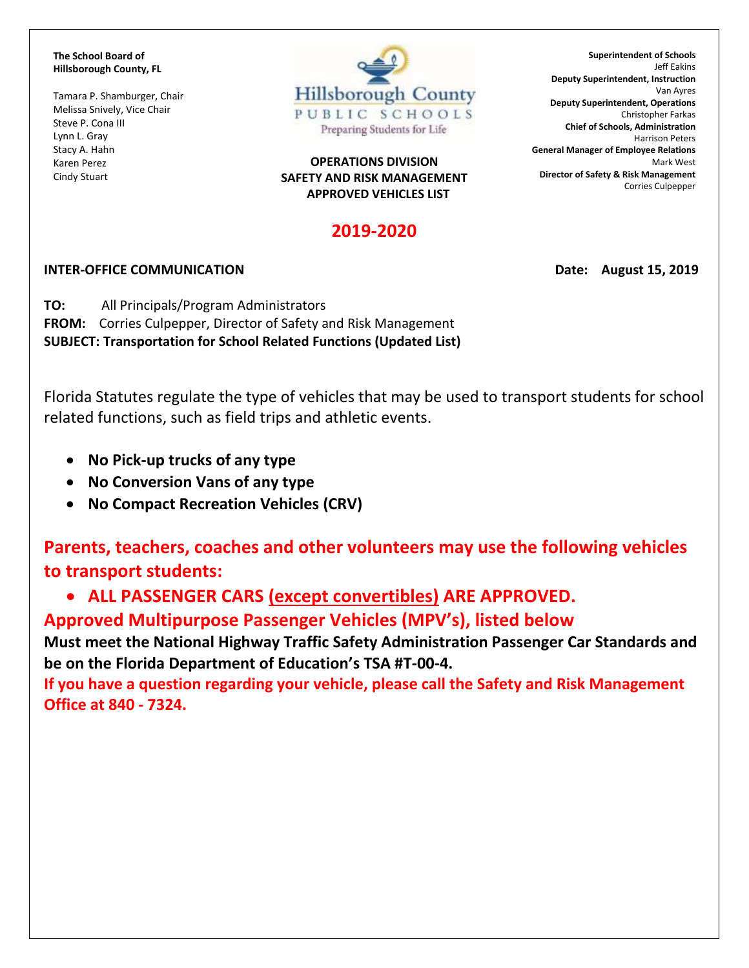**The School Board of Hillsborough County, FL**

Tamara P. Shamburger, Chair Melissa Snively, Vice Chair Steve P. Cona III Lynn L. Gray Stacy A. Hahn Karen Perez Cindy Stuart



## **OPERATIONS DIVISION SAFETY AND RISK MANAGEMENT APPROVED VEHICLES LIST**

## **2019-2020**

## **INTER-OFFICE COMMUNICATION Date: August 15, 2019**

**TO:** All Principals/Program Administrators **FROM:** Corries Culpepper, Director of Safety and Risk Management **SUBJECT: Transportation for School Related Functions (Updated List)**

Florida Statutes regulate the type of vehicles that may be used to transport students for school related functions, such as field trips and athletic events.

- **No Pick-up trucks of any type**
- **No Conversion Vans of any type**
- **No Compact Recreation Vehicles (CRV)**

**Parents, teachers, coaches and other volunteers may use the following vehicles to transport students:**

• **ALL PASSENGER CARS (except convertibles) ARE APPROVED.**

**Approved Multipurpose Passenger Vehicles (MPV's), listed below**

**Must meet the National Highway Traffic Safety Administration Passenger Car Standards and be on the Florida Department of Education's TSA #T-00-4.**

**If you have a question regarding your vehicle, please call the Safety and Risk Management Office at 840 - 7324.**

**Superintendent of Schools** Jeff Eakins **Deputy Superintendent, Instruction** Van Ayres **Deputy Superintendent, Operations** Christopher Farkas **Chief of Schools, Administration** Harrison Peters **General Manager of Employee Relations** Mark West **Director of Safety & Risk Management** Corries Culpepper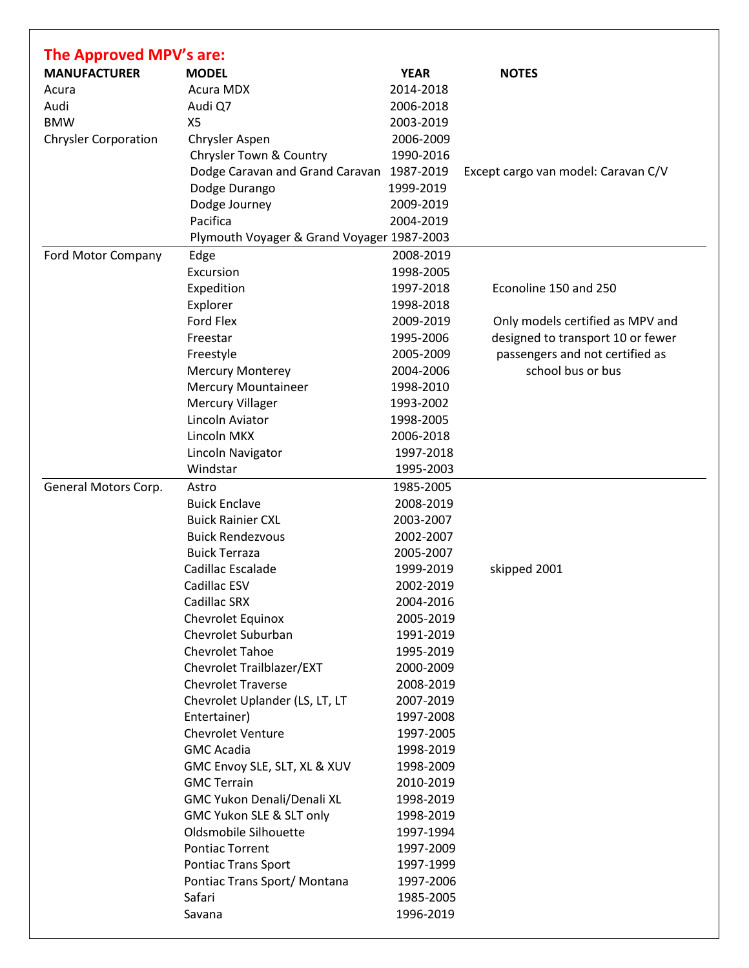| The Approved MPV's are:     |                                            |             |                                     |
|-----------------------------|--------------------------------------------|-------------|-------------------------------------|
| <b>MANUFACTURER</b>         | <b>MODEL</b>                               | <b>YEAR</b> | <b>NOTES</b>                        |
| Acura                       | <b>Acura MDX</b>                           | 2014-2018   |                                     |
| Audi                        | Audi Q7                                    | 2006-2018   |                                     |
| <b>BMW</b>                  | X5                                         | 2003-2019   |                                     |
| <b>Chrysler Corporation</b> | Chrysler Aspen                             | 2006-2009   |                                     |
|                             | Chrysler Town & Country                    | 1990-2016   |                                     |
|                             | Dodge Caravan and Grand Caravan 1987-2019  |             | Except cargo van model: Caravan C/V |
|                             | Dodge Durango                              | 1999-2019   |                                     |
|                             | Dodge Journey                              | 2009-2019   |                                     |
|                             | Pacifica                                   | 2004-2019   |                                     |
|                             | Plymouth Voyager & Grand Voyager 1987-2003 |             |                                     |
| Ford Motor Company          | Edge                                       | 2008-2019   |                                     |
|                             | Excursion                                  | 1998-2005   |                                     |
|                             | Expedition                                 | 1997-2018   | Econoline 150 and 250               |
|                             | Explorer                                   | 1998-2018   |                                     |
|                             | Ford Flex                                  | 2009-2019   | Only models certified as MPV and    |
|                             | Freestar                                   | 1995-2006   | designed to transport 10 or fewer   |
|                             | Freestyle                                  | 2005-2009   | passengers and not certified as     |
|                             | <b>Mercury Monterey</b>                    | 2004-2006   | school bus or bus                   |
|                             | <b>Mercury Mountaineer</b>                 | 1998-2010   |                                     |
|                             | <b>Mercury Villager</b>                    | 1993-2002   |                                     |
|                             | Lincoln Aviator                            | 1998-2005   |                                     |
|                             | Lincoln MKX                                | 2006-2018   |                                     |
|                             | Lincoln Navigator                          | 1997-2018   |                                     |
|                             | Windstar                                   | 1995-2003   |                                     |
| General Motors Corp.        | Astro                                      | 1985-2005   |                                     |
|                             | <b>Buick Enclave</b>                       | 2008-2019   |                                     |
|                             | <b>Buick Rainier CXL</b>                   | 2003-2007   |                                     |
|                             | <b>Buick Rendezvous</b>                    | 2002-2007   |                                     |
|                             | <b>Buick Terraza</b>                       | 2005-2007   |                                     |
|                             | Cadillac Escalade                          | 1999-2019   | skipped 2001                        |
|                             | Cadillac ESV                               | 2002-2019   |                                     |
|                             | Cadillac SRX                               | 2004-2016   |                                     |
|                             | Chevrolet Equinox                          | 2005-2019   |                                     |
|                             | Chevrolet Suburban                         | 1991-2019   |                                     |
|                             | Chevrolet Tahoe                            | 1995-2019   |                                     |
|                             | Chevrolet Trailblazer/EXT                  | 2000-2009   |                                     |
|                             | <b>Chevrolet Traverse</b>                  | 2008-2019   |                                     |
|                             |                                            | 2007-2019   |                                     |
|                             | Chevrolet Uplander (LS, LT, LT             |             |                                     |
|                             | Entertainer)                               | 1997-2008   |                                     |
|                             | <b>Chevrolet Venture</b>                   | 1997-2005   |                                     |
|                             | <b>GMC</b> Acadia                          | 1998-2019   |                                     |
|                             | GMC Envoy SLE, SLT, XL & XUV               | 1998-2009   |                                     |
|                             | <b>GMC Terrain</b>                         | 2010-2019   |                                     |
|                             | GMC Yukon Denali/Denali XL                 | 1998-2019   |                                     |
|                             | GMC Yukon SLE & SLT only                   | 1998-2019   |                                     |
|                             | Oldsmobile Silhouette                      | 1997-1994   |                                     |
|                             | <b>Pontiac Torrent</b>                     | 1997-2009   |                                     |
|                             | Pontiac Trans Sport                        | 1997-1999   |                                     |
|                             | Pontiac Trans Sport/ Montana               | 1997-2006   |                                     |
|                             | Safari                                     | 1985-2005   |                                     |
|                             | Savana                                     | 1996-2019   |                                     |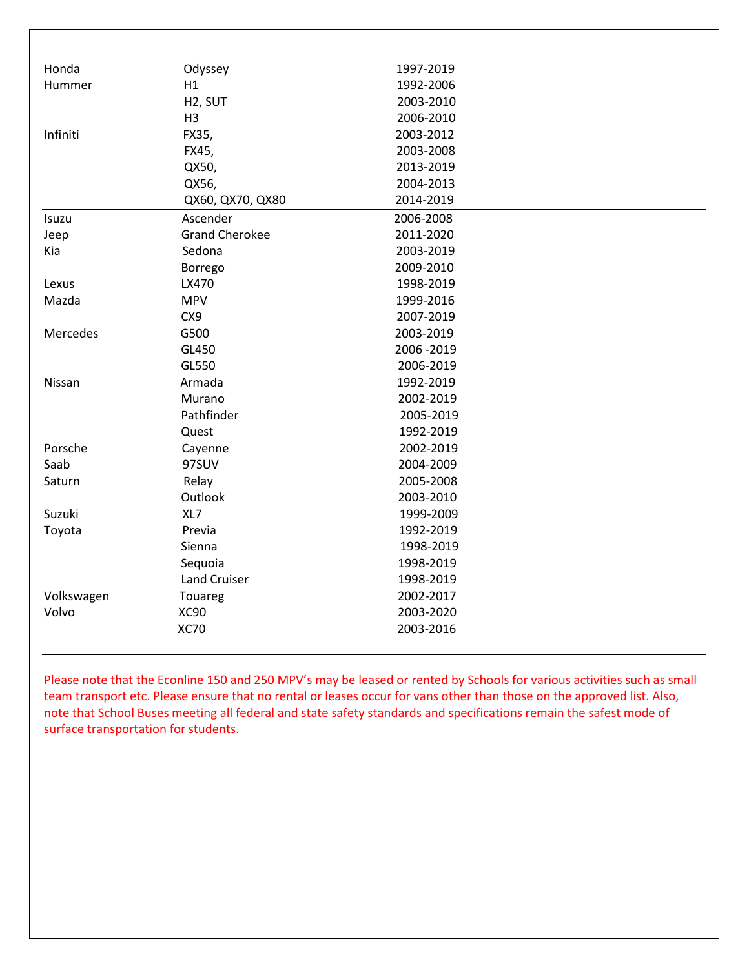| Honda      | Odyssey               | 1997-2019 |  |
|------------|-----------------------|-----------|--|
| Hummer     | H1                    | 1992-2006 |  |
|            | H <sub>2</sub> , SUT  | 2003-2010 |  |
|            | H <sub>3</sub>        | 2006-2010 |  |
| Infiniti   | FX35,                 | 2003-2012 |  |
|            | FX45,                 | 2003-2008 |  |
|            | QX50,                 | 2013-2019 |  |
|            | QX56,                 | 2004-2013 |  |
|            | QX60, QX70, QX80      | 2014-2019 |  |
| Isuzu      | Ascender              | 2006-2008 |  |
| Jeep       | <b>Grand Cherokee</b> | 2011-2020 |  |
| Kia        | Sedona                | 2003-2019 |  |
|            | Borrego               | 2009-2010 |  |
| Lexus      | LX470                 | 1998-2019 |  |
| Mazda      | <b>MPV</b>            | 1999-2016 |  |
|            | CX9                   | 2007-2019 |  |
| Mercedes   | G500                  | 2003-2019 |  |
|            | GL450                 | 2006-2019 |  |
|            | GL550                 | 2006-2019 |  |
| Nissan     | Armada                | 1992-2019 |  |
|            | Murano                | 2002-2019 |  |
|            | Pathfinder            | 2005-2019 |  |
|            | Quest                 | 1992-2019 |  |
| Porsche    | Cayenne               | 2002-2019 |  |
| Saab       | 97SUV                 | 2004-2009 |  |
| Saturn     | Relay                 | 2005-2008 |  |
|            | Outlook               | 2003-2010 |  |
| Suzuki     | XL7                   | 1999-2009 |  |
| Toyota     | Previa                | 1992-2019 |  |
|            | Sienna                | 1998-2019 |  |
|            | Sequoia               | 1998-2019 |  |
|            | <b>Land Cruiser</b>   | 1998-2019 |  |
| Volkswagen | Touareg               | 2002-2017 |  |
| Volvo      | XC90                  | 2003-2020 |  |
|            | <b>XC70</b>           | 2003-2016 |  |
|            |                       |           |  |

Please note that the Econline 150 and 250 MPV's may be leased or rented by Schools for various activities such as small team transport etc. Please ensure that no rental or leases occur for vans other than those on the approved list. Also, note that School Buses meeting all federal and state safety standards and specifications remain the safest mode of surface transportation for students.